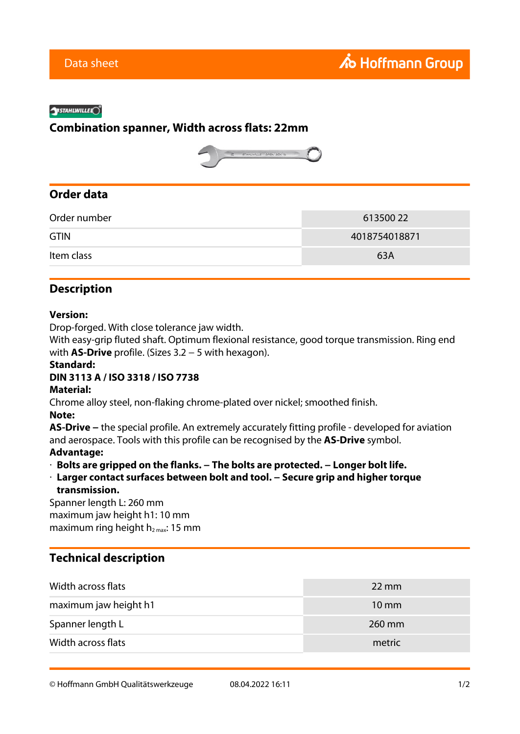#### **SYSTAHLWILLEK**<sup>®</sup>

# **Combination spanner, Width across flats: 22mm**



# **Order data**

| Order number | 613500 22     |
|--------------|---------------|
| <b>GTIN</b>  | 4018754018871 |
| Item class   | 63A           |

# **Description**

#### **Version:**

Drop-forged. With close tolerance jaw width.

With easy-grip fluted shaft. Optimum flexional resistance, good torque transmission. Ring end with **AS-Drive** profile. (Sizes 3.2 − 5 with hexagon).

### **Standard:**

### **DIN 3113 A / ISO 3318 / ISO 7738**

#### **Material:**

Chrome alloy steel, non-flaking chrome-plated over nickel; smoothed finish.

#### **Note:**

**AS-Drive −** the special profile. An extremely accurately fitting profile - developed for aviation and aerospace. Tools with this profile can be recognised by the **AS-Drive** symbol.

### **Advantage:**

- · **Bolts are gripped on the flanks. − The bolts are protected. − Longer bolt life.**
- · **Larger contact surfaces between bolt and tool. − Secure grip and higher torque**

### **transmission.**

Spanner length L: 260 mm maximum jaw height h1: 10 mm maximum ring height  $h_{2\text{ max}}$ : 15 mm

# **Technical description**

| Width across flats    | $22 \text{ mm}$ |
|-----------------------|-----------------|
| maximum jaw height h1 | $10 \text{ mm}$ |
| Spanner length L      | 260 mm          |
| Width across flats    | metric          |